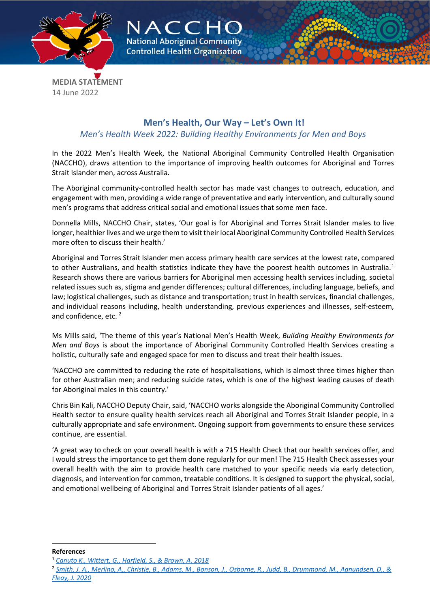



**MEDIA STATEMENT** 14 June 2022

## **Men's Health, Our Way – Let's Own It!**

## *Men's Health Week 2022: Building Healthy Environments for Men and Boys*

In the 2022 Men's Health Week, the National Aboriginal Community Controlled Health Organisation (NACCHO), draws attention to the importance of improving health outcomes for Aboriginal and Torres Strait Islander men, across Australia.

The Aboriginal community-controlled health sector has made vast changes to outreach, education, and engagement with men, providing a wide range of preventative and early intervention, and culturally sound men's programs that address critical social and emotional issues that some men face.

Donnella Mills, NACCHO Chair, states, 'Our goal is for Aboriginal and Torres Strait Islander males to live longer, healthier lives and we urge them to visit their local Aboriginal Community Controlled Health Services more often to discuss their health.'

Aboriginal and Torres Strait Islander men access primary health care services at the lowest rate, compared to other Australians, and health statistics indicate they have the poorest health outcomes in Australia.<sup>[1](#page-0-0)</sup> Research shows there are various barriers for Aboriginal men accessing health services including, societal related issues such as, stigma and gender differences; cultural differences, including language, beliefs, and law; logistical challenges, such as distance and transportation; trust in health services, financial challenges, and individual reasons including, health understanding, previous experiences and illnesses, self-esteem, and confidence, etc.<sup>[2](#page-0-1)</sup>

Ms Mills said, 'The theme of this year's National Men's Health Week, *Building Healthy Environments for Men and Boys* is about the importance of Aboriginal Community Controlled Health Services creating a holistic, culturally safe and engaged space for men to discuss and treat their health issues.

'NACCHO are committed to reducing the rate of hospitalisations, which is almost three times higher than for other Australian men; and reducing suicide rates, which is one of the highest leading causes of death for Aboriginal males in this country.'

Chris Bin Kali, NACCHO Deputy Chair, said, 'NACCHO works alongside the Aboriginal Community Controlled Health sector to ensure quality health services reach all Aboriginal and Torres Strait Islander people, in a culturally appropriate and safe environment. Ongoing support from governments to ensure these services continue, are essential.

'A great way to check on your overall health is with a 715 Health Check that our health services offer, and I would stress the importance to get them done regularly for our men! The 715 Health Check assesses your overall health with the aim to provide health care matched to your specific needs via early detection, diagnosis, and intervention for common, treatable conditions. It is designed to support the physical, social, and emotional wellbeing of Aboriginal and Torres Strait Islander patients of all ages.'

<span id="page-0-0"></span>**References**

<sup>1</sup> *[Canuto K., Wittert, G., Harfield, S., & Brown, A. 2018](https://onlinelibrary.wiley.com/doi/10.1111/1753-6405.12922)*

<span id="page-0-1"></span><sup>2</sup> *[Smith, J. A., Merlino, A., Christie, B., Adams, M., Bonson, J., Osborne, R., Judd, B., Drummond, M., Aanundsen, D., &](https://journals.sagepub.com/doi/10.1177/1557988320936121)  [Fleay, J. 2020](https://journals.sagepub.com/doi/10.1177/1557988320936121)*